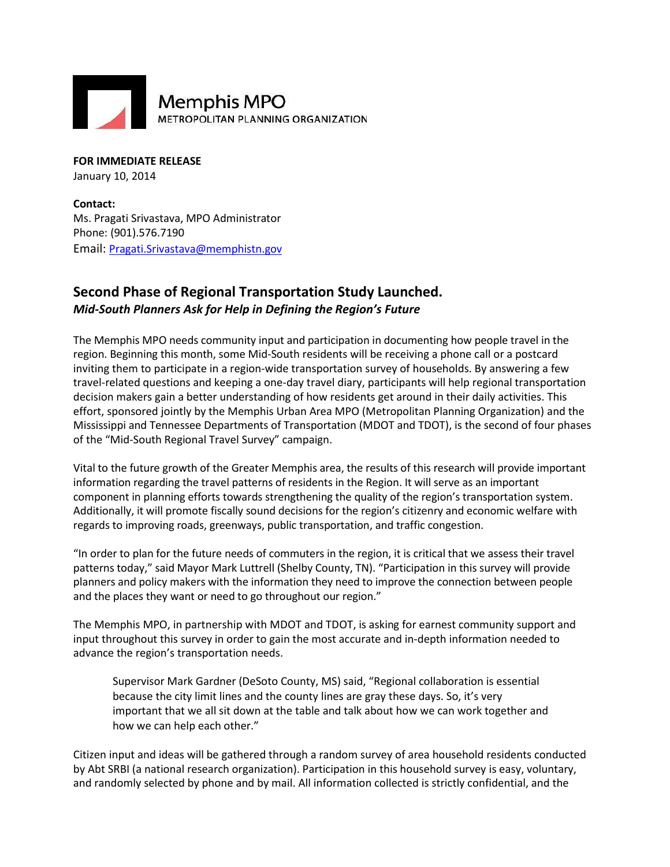

**FOR IMMEDIATE RELEASE** January 10, 2014

**Contact:** Ms. Pragati Srivastava, MPO Administrator Phone: (901).576.7190 Email: [Pragati.Srivastava@memphistn.gov](mailto:info@hornsbybrandesign.com)

## **Second Phase of Regional Transportation Study Launched.** *Mid-South Planners Ask for Help in Defining the Region's Future*

The Memphis MPO needs community input and participation in documenting how people travel in the region. Beginning this month, some Mid-South residents will be receiving a phone call or a postcard inviting them to participate in a region-wide transportation survey of households. By answering a few travel-related questions and keeping a one-day travel diary, participants will help regional transportation decision makers gain a better understanding of how residents get around in their daily activities. This effort, sponsored jointly by the Memphis Urban Area MPO (Metropolitan Planning Organization) and the Mississippi and Tennessee Departments of Transportation (MDOT and TDOT), is the second of four phases of the "Mid-South Regional Travel Survey" campaign.

Vital to the future growth of the Greater Memphis area, the results of this research will provide important information regarding the travel patterns of residents in the Region. It will serve as an important component in planning efforts towards strengthening the quality of the region's transportation system. Additionally, it will promote fiscally sound decisions for the region's citizenry and economic welfare with regards to improving roads, greenways, public transportation, and traffic congestion.

"In order to plan for the future needs of commuters in the region, it is critical that we assess their travel patterns today," said Mayor Mark Luttrell (Shelby County, TN). "Participation in this survey will provide planners and policy makers with the information they need to improve the connection between people and the places they want or need to go throughout our region."

The Memphis MPO, in partnership with MDOT and TDOT, is asking for earnest community support and input throughout this survey in order to gain the most accurate and in-depth information needed to advance the region's transportation needs.

Supervisor Mark Gardner (DeSoto County, MS) said, "Regional collaboration is essential because the city limit lines and the county lines are gray these days. So, it's very important that we all sit down at the table and talk about how we can work together and how we can help each other."

Citizen input and ideas will be gathered through a random survey of area household residents conducted by Abt SRBI (a national research organization). Participation in this household survey is easy, voluntary, and randomly selected by phone and by mail. All information collected is strictly confidential, and the